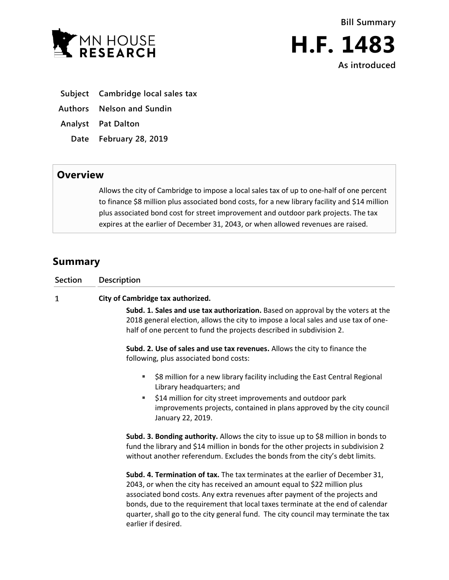



**As introduced**

- **Subject Cambridge local sales tax**
- **Authors Nelson and Sundin**
- **Analyst Pat Dalton**
	- **Date February 28, 2019**

## **Overview**

Allows the city of Cambridge to impose a local sales tax of up to one-half of one percent to finance \$8 million plus associated bond costs, for a new library facility and \$14 million plus associated bond cost for street improvement and outdoor park projects. The tax expires at the earlier of December 31, 2043, or when allowed revenues are raised.

## **Summary**

| <b>Section</b> | <b>Description</b>                                                                                                                                                                                                                                                                                                                                                                                                                        |
|----------------|-------------------------------------------------------------------------------------------------------------------------------------------------------------------------------------------------------------------------------------------------------------------------------------------------------------------------------------------------------------------------------------------------------------------------------------------|
| 1              | City of Cambridge tax authorized.                                                                                                                                                                                                                                                                                                                                                                                                         |
|                | Subd. 1. Sales and use tax authorization. Based on approval by the voters at the<br>2018 general election, allows the city to impose a local sales and use tax of one-<br>half of one percent to fund the projects described in subdivision 2.                                                                                                                                                                                            |
|                | Subd. 2. Use of sales and use tax revenues. Allows the city to finance the<br>following, plus associated bond costs:                                                                                                                                                                                                                                                                                                                      |
|                | \$8 million for a new library facility including the East Central Regional<br>٠<br>Library headquarters; and                                                                                                                                                                                                                                                                                                                              |
|                | \$14 million for city street improvements and outdoor park<br>٠<br>improvements projects, contained in plans approved by the city council<br>January 22, 2019.                                                                                                                                                                                                                                                                            |
|                | Subd. 3. Bonding authority. Allows the city to issue up to \$8 million in bonds to<br>fund the library and \$14 million in bonds for the other projects in subdivision 2<br>without another referendum. Excludes the bonds from the city's debt limits.                                                                                                                                                                                   |
|                | Subd. 4. Termination of tax. The tax terminates at the earlier of December 31,<br>2043, or when the city has received an amount equal to \$22 million plus<br>associated bond costs. Any extra revenues after payment of the projects and<br>bonds, due to the requirement that local taxes terminate at the end of calendar<br>quarter, shall go to the city general fund. The city council may terminate the tax<br>earlier if desired. |